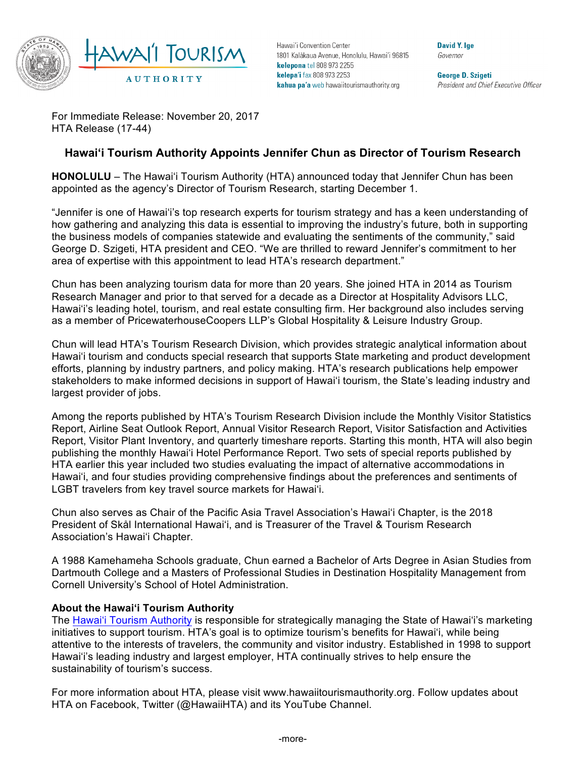

Hawai'i Convention Center 1801 Kalākaua Avenue, Honolulu, Hawai'i 96815 kelepona tel 808 973 2255 kelepa'i fax 808 973 2253 kahua pa'a web hawaiitourismauthority.org

David Y. Ige Governor

**George D. Szigeti** President and Chief Executive Officer

For Immediate Release: November 20, 2017 HTA Release (17-44)

## **Hawai'i Tourism Authority Appoints Jennifer Chun as Director of Tourism Research**

**HONOLULU** – The Hawai'i Tourism Authority (HTA) announced today that Jennifer Chun has been appointed as the agency's Director of Tourism Research, starting December 1.

"Jennifer is one of Hawai'i's top research experts for tourism strategy and has a keen understanding of how gathering and analyzing this data is essential to improving the industry's future, both in supporting the business models of companies statewide and evaluating the sentiments of the community," said George D. Szigeti, HTA president and CEO. "We are thrilled to reward Jennifer's commitment to her area of expertise with this appointment to lead HTA's research department."

Chun has been analyzing tourism data for more than 20 years. She joined HTA in 2014 as Tourism Research Manager and prior to that served for a decade as a Director at Hospitality Advisors LLC, Hawai'i's leading hotel, tourism, and real estate consulting firm. Her background also includes serving as a member of PricewaterhouseCoopers LLP's Global Hospitality & Leisure Industry Group.

Chun will lead HTA's Tourism Research Division, which provides strategic analytical information about Hawai'i tourism and conducts special research that supports State marketing and product development efforts, planning by industry partners, and policy making. HTA's research publications help empower stakeholders to make informed decisions in support of Hawai'i tourism, the State's leading industry and largest provider of jobs.

Among the reports published by HTA's Tourism Research Division include the Monthly Visitor Statistics Report, Airline Seat Outlook Report, Annual Visitor Research Report, Visitor Satisfaction and Activities Report, Visitor Plant Inventory, and quarterly timeshare reports. Starting this month, HTA will also begin publishing the monthly Hawai'i Hotel Performance Report. Two sets of special reports published by HTA earlier this year included two studies evaluating the impact of alternative accommodations in Hawai'i, and four studies providing comprehensive findings about the preferences and sentiments of LGBT travelers from key travel source markets for Hawai'i.

Chun also serves as Chair of the Pacific Asia Travel Association's Hawai'i Chapter, is the 2018 President of Skål International Hawai'i, and is Treasurer of the Travel & Tourism Research Association's Hawai'i Chapter.

A 1988 Kamehameha Schools graduate, Chun earned a Bachelor of Arts Degree in Asian Studies from Dartmouth College and a Masters of Professional Studies in Destination Hospitality Management from Cornell University's School of Hotel Administration.

## **About the Hawai'i Tourism Authority**

The Hawai'i Tourism Authority is responsible for strategically managing the State of Hawai'i's marketing initiatives to support tourism. HTA's goal is to optimize tourism's benefits for Hawai'i, while being attentive to the interests of travelers, the community and visitor industry. Established in 1998 to support Hawai'i's leading industry and largest employer, HTA continually strives to help ensure the sustainability of tourism's success.

For more information about HTA, please visit www.hawaiitourismauthority.org. Follow updates about HTA on Facebook, Twitter (@HawaiiHTA) and its YouTube Channel.